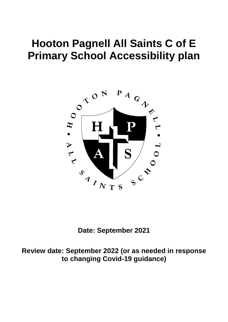# **Hooton Pagnell All Saints C of E Primary School Accessibility plan**



**Date: September 2021**

**Review date: September 2022 (or as needed in response to changing Covid-19 guidance)**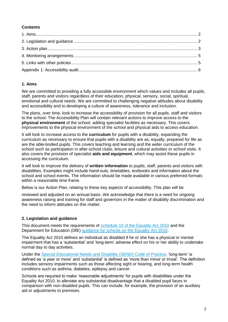## **Contents**

## **1. Aims**

We are committed to providing a fully accessible environment which values and includes all pupils, staff, parents and visitors regardless of their education, physical, sensory, social, spiritual, emotional and cultural needs. We are committed to challenging negative attitudes about disability and accessibility and to developing a culture of awareness, tolerance and inclusion.

The plans, over time, look to increase the accessibility of provision for all pupils, staff and visitors to the school. The Accessibility Plan will contain relevant actions to improve access to the **physical environment** of the school, adding specialist facilities as necessary. This covers improvements to the physical environment of the school and physical aids to access education.

It will look to increase access to the **curriculum** for pupils with a disability, expanding the curriculum as necessary to ensure that pupils with a disability are as, equally, prepared for life as are the able-bodied pupils. This covers teaching and learning and the wider curriculum of the school such as participation in after-school clubs, leisure and cultural activities or school visits. It also covers the provision of specialist **aids and equipment**, which may assist these pupils in accessing the curriculum.

It will look to Improve the delivery of **written information** to pupils, staff, parents and visitors with disabilities. Examples might include hand-outs, timetables, textbooks and information about the school and school events. The information should be made available in various preferred formats within a reasonable time frame.

Below is our Action Plan, relating to these key aspects of accessibility. This plan will be

reviewed and adjusted on an annual basis. We acknowledge that there is a need for ongoing awareness raising and training for staff and governors in the matter of disability discrimination and the need to inform attitudes on this matter.

#### **2. Legislation and guidance**

This document meets the requirements of [schedule 10 of the Equality Act 2010](http://www.legislation.gov.uk/ukpga/2010/15/schedule/10) and the Department for Education (DfE) [guidance for schools on the Equality Act 2010.](https://www.gov.uk/government/publications/equality-act-2010-advice-for-schools)

The Equality Act 2010 defines an individual as disabled if he or she has a physical or mental impairment that has a 'substantial' and 'long-term' adverse effect on his or her ability to undertake normal day to day activities.

Under the [Special Educational Needs and Disability \(SEND\) Code of Practice,](https://www.gov.uk/government/publications/send-code-of-practice-0-to-25) 'long-term' is defined as 'a year or more' and 'substantial' is defined as 'more than minor or trivial'. The definition includes sensory impairments such as those affecting sight or hearing, and long-term health conditions such as asthma, diabetes, epilepsy and cancer.

Schools are required to make 'reasonable adjustments' for pupils with disabilities under the Equality Act 2010, to alleviate any substantial disadvantage that a disabled pupil faces in comparison with non-disabled pupils. This can include, for example, the provision of an auxiliary aid or adjustments to premises.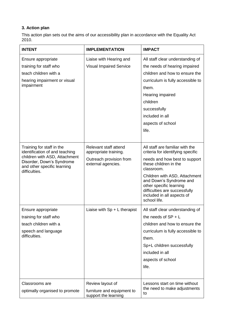## **3. Action plan**

This action plan sets out the aims of our accessibility plan in accordance with the Equality Act 2010.

| <b>INTENT</b>                                                                                                                                                             | <b>IMPLEMENTATION</b>                                                                           | <b>IMPACT</b>                                                                                                                                                                                                                                                                                                      |
|---------------------------------------------------------------------------------------------------------------------------------------------------------------------------|-------------------------------------------------------------------------------------------------|--------------------------------------------------------------------------------------------------------------------------------------------------------------------------------------------------------------------------------------------------------------------------------------------------------------------|
| Ensure appropriate<br>training for staff who<br>teach children with a<br>hearing impairment or visual<br>impairment                                                       | Liaise with Hearing and<br><b>Visual Impaired Service</b>                                       | All staff clear understanding of<br>the needs of hearing impaired<br>children and how to ensure the<br>curriculum is fully accessible to<br>them.<br>Hearing impaired<br>children<br>successfully<br>included in all<br>aspects of school<br>life.                                                                 |
| Training for staff in the<br>identification of and teaching<br>children with ASD, Attachment<br>Disorder, Down's Syndrome<br>and other specific learning<br>difficulties. | Relevant staff attend<br>appropriate training.<br>Outreach provision from<br>external agencies. | All staff are familiar with the<br>criteria for identifying specific<br>needs and how best to support<br>these children in the<br>classroom.<br>Children with ASD, Attachment<br>and Down's Syndrome and<br>other specific learning<br>difficulties are successfully<br>included in all aspects of<br>school life. |
| Ensure appropriate<br>training for staff who<br>teach children with a<br>speech and language<br>difficulties.                                                             | Liaise with $Sp + L$ therapist                                                                  | All staff clear understanding of<br>the needs of $SP + L$<br>children and how to ensure the<br>curriculum is fully accessible to<br>them.<br>Sp+L children successfully<br>included in all<br>aspects of school<br>life.                                                                                           |
| Classrooms are<br>optimally organised to promote                                                                                                                          | Review layout of<br>furniture and equipment to<br>support the learning                          | Lessons start on time without<br>the need to make adjustments<br>to                                                                                                                                                                                                                                                |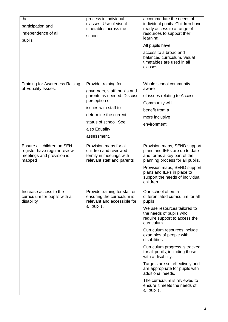| the<br>participation and<br>independence of all<br>pupils                                         | process in individual<br>classes. Use of visual<br>timetables across the<br>school.                                                                                                                           | accommodate the needs of<br>individual pupils. Children have<br>ready access to a range of<br>resources to support their<br>learning.<br>All pupils have<br>access to a broad and<br>balanced curriculum. Visual<br>timetables are used in all<br>classes.                                                                                                                                                                                                                                                                       |
|---------------------------------------------------------------------------------------------------|---------------------------------------------------------------------------------------------------------------------------------------------------------------------------------------------------------------|----------------------------------------------------------------------------------------------------------------------------------------------------------------------------------------------------------------------------------------------------------------------------------------------------------------------------------------------------------------------------------------------------------------------------------------------------------------------------------------------------------------------------------|
| <b>Training for Awareness Raising</b><br>of Equality Issues.                                      | Provide training for<br>governors, staff, pupils and<br>parents as needed. Discuss<br>perception of<br>issues with staff to<br>determine the current<br>status of school. See<br>also Equality<br>assessment. | Whole school community<br>aware<br>of issues relating to Access.<br>Community will<br>benefit from a<br>more inclusive<br>environment                                                                                                                                                                                                                                                                                                                                                                                            |
| Ensure all children on SEN<br>register have regular review<br>meetings and provision is<br>mapped | Provision maps for all<br>children and reviewed<br>termly in meetings with<br>relevant staff and parents                                                                                                      | Provision maps, SEND support<br>plans and IEPs are up to date<br>and forms a key part of the<br>planning process for all pupils.<br>Provision maps, SEND support<br>plans and IEPs in place to<br>support the needs of individual<br>children.                                                                                                                                                                                                                                                                                   |
| Increase access to the<br>curriculum for pupils with a<br>disability                              | Provide training for staff on<br>ensuring the curriculum is<br>relevant and accessible for<br>all pupils.                                                                                                     | Our school offers a<br>differentiated curriculum for all<br>pupils.<br>We use resources tailored to<br>the needs of pupils who<br>require support to access the<br>curriculum.<br>Curriculum resources include<br>examples of people with<br>disabilities.<br>Curriculum progress is tracked<br>for all pupils, including those<br>with a disability.<br>Targets are set effectively and<br>are appropriate for pupils with<br>additional needs.<br>The curriculum is reviewed to<br>ensure it meets the needs of<br>all pupils. |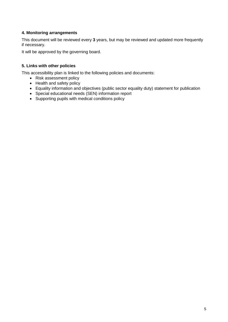## **4. Monitoring arrangements**

This document will be reviewed every **3** years, but may be reviewed and updated more frequently if necessary.

It will be approved by the governing board.

## **5. Links with other policies**

This accessibility plan is linked to the following policies and documents:

- Risk assessment policy
- Health and safety policy
- Equality information and objectives (public sector equality duty) statement for publication
- Special educational needs (SEN) information report
- Supporting pupils with medical conditions policy